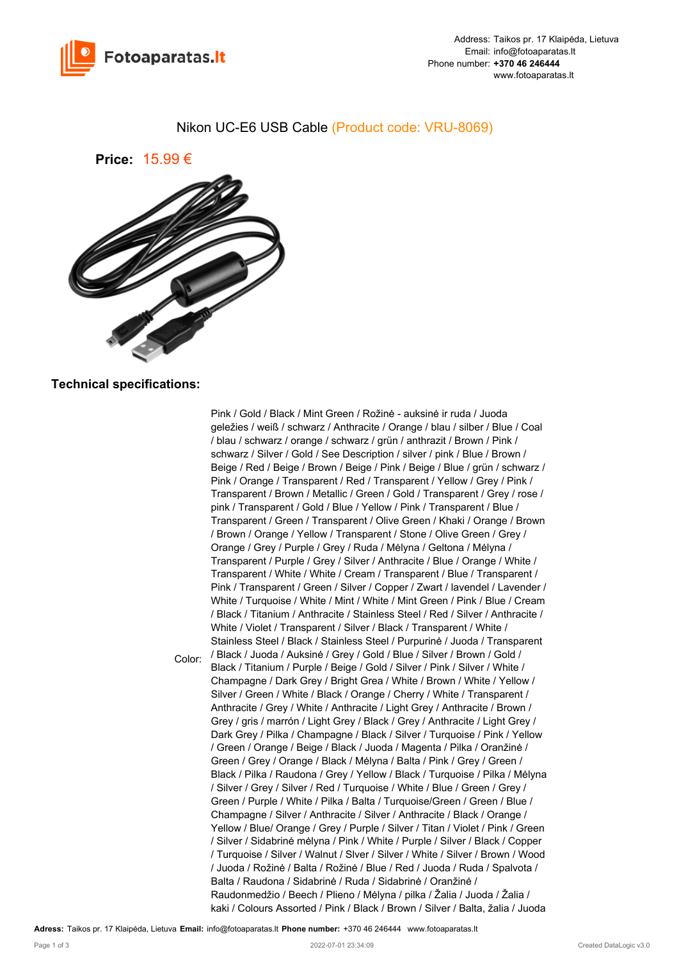

## Nikon UC-E6 USB Cable (Product code: VRU-8069)



## **Technical specifications:**

Color: Pink / Gold / Black / Mint Green / Rožinė - auksinė ir ruda / Juoda geležies / weiß / schwarz / Anthracite / Orange / blau / silber / Blue / Coal / blau / schwarz / orange / schwarz / grün / anthrazit / Brown / Pink / schwarz / Silver / Gold / See Description / silver / pink / Blue / Brown / Beige / Red / Beige / Brown / Beige / Pink / Beige / Blue / grün / schwarz / Pink / Orange / Transparent / Red / Transparent / Yellow / Grey / Pink / Transparent / Brown / Metallic / Green / Gold / Transparent / Grey / rose / pink / Transparent / Gold / Blue / Yellow / Pink / Transparent / Blue / Transparent / Green / Transparent / Olive Green / Khaki / Orange / Brown / Brown / Orange / Yellow / Transparent / Stone / Olive Green / Grey / Orange / Grey / Purple / Grey / Ruda / Mėlyna / Geltona / Mėlyna / Transparent / Purple / Grey / Silver / Anthracite / Blue / Orange / White / Transparent / White / White / Cream / Transparent / Blue / Transparent / Pink / Transparent / Green / Silver / Copper / Zwart / lavendel / Lavender / White / Turquoise / White / Mint / White / Mint Green / Pink / Blue / Cream / Black / Titanium / Anthracite / Stainless Steel / Red / Silver / Anthracite / White / Violet / Transparent / Silver / Black / Transparent / White / Stainless Steel / Black / Stainless Steel / Purpurinė / Juoda / Transparent / Black / Juoda / Auksinė / Grey / Gold / Blue / Silver / Brown / Gold / Black / Titanium / Purple / Beige / Gold / Silver / Pink / Silver / White / Champagne / Dark Grey / Bright Grea / White / Brown / White / Yellow / Silver / Green / White / Black / Orange / Cherry / White / Transparent / Anthracite / Grey / White / Anthracite / Light Grey / Anthracite / Brown / Grey / gris / marrón / Light Grey / Black / Grey / Anthracite / Light Grey / Dark Grey / Pilka / Champagne / Black / Silver / Turquoise / Pink / Yellow / Green / Orange / Beige / Black / Juoda / Magenta / Pilka / Oranžinė / Green / Grey / Orange / Black / Mėlyna / Balta / Pink / Grey / Green / Black / Pilka / Raudona / Grey / Yellow / Black / Turquoise / Pilka / Mėlyna / Silver / Grey / Silver / Red / Turquoise / White / Blue / Green / Grey / Green / Purple / White / Pilka / Balta / Turquoise/Green / Green / Blue / Champagne / Silver / Anthracite / Silver / Anthracite / Black / Orange / Yellow / Blue/ Orange / Grey / Purple / Silver / Titan / Violet / Pink / Green / Silver / Sidabrinė mėlyna / Pink / White / Purple / Silver / Black / Copper / Turquoise / Silver / Walnut / Slver / Silver / White / Silver / Brown / Wood / Juoda / Rožinė / Balta / Rožinė / Blue / Red / Juoda / Ruda / Spalvota / Balta / Raudona / Sidabrinė / Ruda / Sidabrinė / Oranžinė / Raudonmedžio / Beech / Plieno / Mėlyna / pilka / Žalia / Juoda / Žalia / kaki / Colours Assorted / Pink / Black / Brown / Silver / Balta, žalia / Juoda

**Adress:** Taikos pr. 17 Klaipėda, Lietuva **Email:** info@fotoaparatas.lt **Phone number:** +370 46 246444 www.fotoaparatas.lt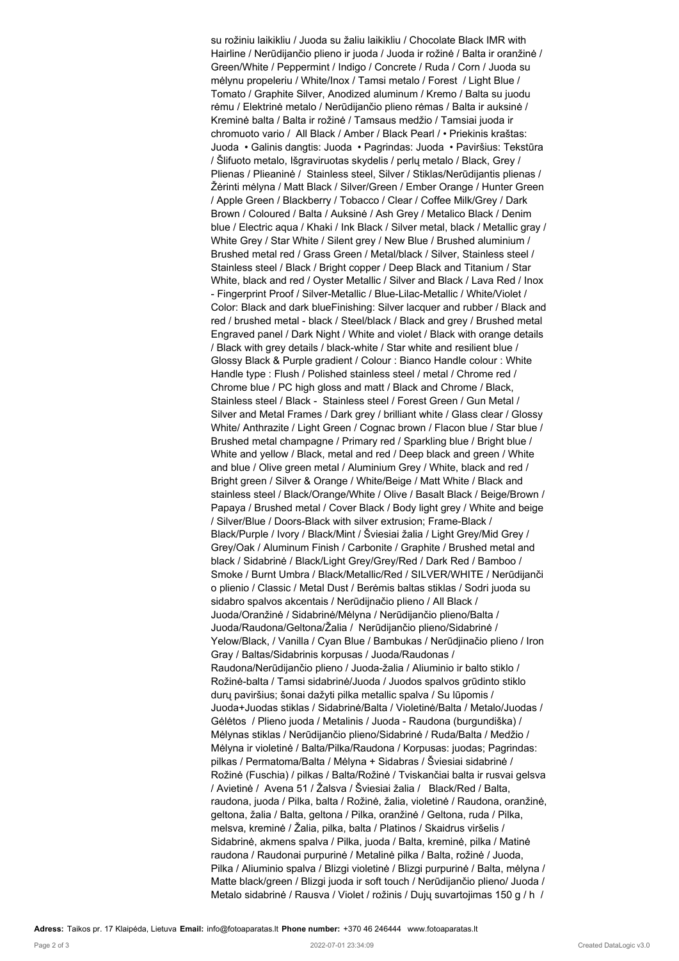su rožiniu laikikliu / Juoda su žaliu laikikliu / Chocolate Black IMR with Hairline / Nerūdijančio plieno ir juoda / Juoda ir rožinė / Balta ir oranžinė / Green/White / Peppermint / Indigo / Concrete / Ruda / Corn / Juoda su mėlynu propeleriu / White/Inox / Tamsi metalo / Forest / Light Blue / Tomato / Graphite Silver, Anodized aluminum / Kremo / Balta su juodu rėmu / Elektrinė metalo / Nerūdijančio plieno rėmas / Balta ir auksinė / Kreminė balta / Balta ir rožinė / Tamsaus medžio / Tamsiai juoda ir chromuoto vario / All Black / Amber / Black Pearl / • Priekinis kraštas: Juoda • Galinis dangtis: Juoda • Pagrindas: Juoda • Paviršius: Tekstūra / Šlifuoto metalo, Išgraviruotas skydelis / perlų metalo / Black, Grey / Plienas / Plieaninė / Stainless steel, Silver / Stiklas/Nerūdijantis plienas / Žėrinti mėlyna / Matt Black / Silver/Green / Ember Orange / Hunter Green / Apple Green / Blackberry / Tobacco / Clear / Coffee Milk/Grey / Dark Brown / Coloured / Balta / Auksinė / Ash Grey / Metalico Black / Denim blue / Electric aqua / Khaki / Ink Black / Silver metal, black / Metallic gray / White Grey / Star White / Silent grey / New Blue / Brushed aluminium / Brushed metal red / Grass Green / Metal/black / Silver, Stainless steel / Stainless steel / Black / Bright copper / Deep Black and Titanium / Star White, black and red / Oyster Metallic / Silver and Black / Lava Red / Inox - Fingerprint Proof / Silver-Metallic / Blue-Lilac-Metallic / White/Violet / Color: Black and dark blueFinishing: Silver lacquer and rubber / Black and red / brushed metal - black / Steel/black / Black and grey / Brushed metal Engraved panel / Dark Night / White and violet / Black with orange details / Black with grey details / black-white / Star white and resilient blue / Glossy Black & Purple gradient / Colour : Bianco Handle colour : White Handle type : Flush / Polished stainless steel / metal / Chrome red / Chrome blue / PC high gloss and matt / Black and Chrome / Black, Stainless steel / Black - Stainless steel / Forest Green / Gun Metal / Silver and Metal Frames / Dark grey / brilliant white / Glass clear / Glossy White/ Anthrazite / Light Green / Cognac brown / Flacon blue / Star blue / Brushed metal champagne / Primary red / Sparkling blue / Bright blue / White and yellow / Black, metal and red / Deep black and green / White and blue / Olive green metal / Aluminium Grey / White, black and red / Bright green / Silver & Orange / White/Beige / Matt White / Black and stainless steel / Black/Orange/White / Olive / Basalt Black / Beige/Brown / Papaya / Brushed metal / Cover Black / Body light grey / White and beige / Silver/Blue / Doors-Black with silver extrusion; Frame-Black / Black/Purple / Ivory / Black/Mint / Šviesiai žalia / Light Grey/Mid Grey / Grey/Oak / Aluminum Finish / Carbonite / Graphite / Brushed metal and black / Sidabrinė / Black/Light Grey/Grey/Red / Dark Red / Bamboo / Smoke / Burnt Umbra / Black/Metallic/Red / SILVER/WHITE / Nerūdijanči o plienio / Classic / Metal Dust / Berėmis baltas stiklas / Sodri juoda su sidabro spalvos akcentais / Nerūdijnačio plieno / All Black / Juoda/Oranžinė / Sidabrinė/Mėlyna / Nerūdijančio plieno/Balta / Juoda/Raudona/Geltona/Žalia / Nerūdijančio plieno/Sidabrinė / Yelow/Black, / Vanilla / Cyan Blue / Bambukas / Nerūdjinačio plieno / Iron Gray / Baltas/Sidabrinis korpusas / Juoda/Raudonas / Raudona/Nerūdijančio plieno / Juoda-žalia / Aliuminio ir balto stiklo / Rožinė-balta / Tamsi sidabrinė/Juoda / Juodos spalvos grūdinto stiklo durų paviršius; šonai dažyti pilka metallic spalva / Su lūpomis / Juoda+Juodas stiklas / Sidabrinė/Balta / Violetinė/Balta / Metalo/Juodas / Gėlėtos / Plieno juoda / Metalinis / Juoda - Raudona (burgundiška) / Mėlynas stiklas / Nerūdijančio plieno/Sidabrinė / Ruda/Balta / Medžio / Mėlyna ir violetinė / Balta/Pilka/Raudona / Korpusas: juodas; Pagrindas: pilkas / Permatoma/Balta / Mėlyna + Sidabras / Šviesiai sidabrinė / Rožinė (Fuschia) / pilkas / Balta/Rožinė / Tviskančiai balta ir rusvai gelsva / Avietinė / Avena 51 / Žalsva / Šviesiai žalia / Black/Red / Balta, raudona, juoda / Pilka, balta / Rožinė, žalia, violetinė / Raudona, oranžinė, geltona, žalia / Balta, geltona / Pilka, oranžinė / Geltona, ruda / Pilka, melsva, kreminė / Žalia, pilka, balta / Platinos / Skaidrus viršelis / Sidabrinė, akmens spalva / Pilka, juoda / Balta, kreminė, pilka / Matinė raudona / Raudonai purpurinė / Metalinė pilka / Balta, rožinė / Juoda, Pilka / Aliuminio spalva / Blizgi violetinė / Blizgi purpurinė / Balta, mėlyna / Matte black/green / Blizgi juoda ir soft touch / Nerūdijančio plieno/ Juoda / Metalo sidabrinė / Rausva / Violet / rožinis / Dujų suvartojimas 150 g / h /